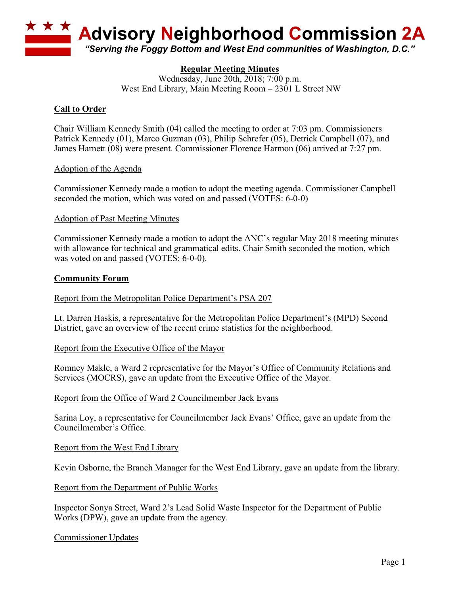

# **Regular Meeting Minutes**

Wednesday, June 20th, 2018; 7:00 p.m. West End Library, Main Meeting Room – 2301 L Street NW

# **Call to Order**

Chair William Kennedy Smith (04) called the meeting to order at 7:03 pm. Commissioners Patrick Kennedy (01), Marco Guzman (03), Philip Schrefer (05), Detrick Campbell (07), and James Harnett (08) were present. Commissioner Florence Harmon (06) arrived at 7:27 pm.

### Adoption of the Agenda

Commissioner Kennedy made a motion to adopt the meeting agenda. Commissioner Campbell seconded the motion, which was voted on and passed (VOTES: 6-0-0)

### Adoption of Past Meeting Minutes

Commissioner Kennedy made a motion to adopt the ANC's regular May 2018 meeting minutes with allowance for technical and grammatical edits. Chair Smith seconded the motion, which was voted on and passed (VOTES: 6-0-0).

### **Community Forum**

### Report from the Metropolitan Police Department's PSA 207

Lt. Darren Haskis, a representative for the Metropolitan Police Department's (MPD) Second District, gave an overview of the recent crime statistics for the neighborhood.

#### Report from the Executive Office of the Mayor

Romney Makle, a Ward 2 representative for the Mayor's Office of Community Relations and Services (MOCRS), gave an update from the Executive Office of the Mayor.

#### Report from the Office of Ward 2 Councilmember Jack Evans

Sarina Loy, a representative for Councilmember Jack Evans' Office, gave an update from the Councilmember's Office.

#### Report from the West End Library

Kevin Osborne, the Branch Manager for the West End Library, gave an update from the library.

#### Report from the Department of Public Works

Inspector Sonya Street, Ward 2's Lead Solid Waste Inspector for the Department of Public Works (DPW), gave an update from the agency.

#### Commissioner Updates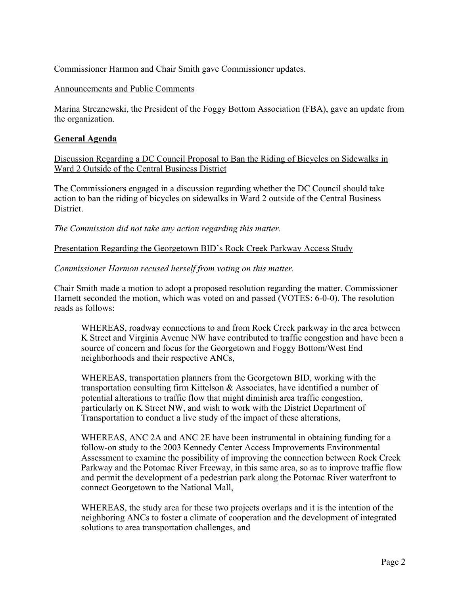Commissioner Harmon and Chair Smith gave Commissioner updates.

## Announcements and Public Comments

Marina Streznewski, the President of the Foggy Bottom Association (FBA), gave an update from the organization.

## **General Agenda**

Discussion Regarding a DC Council Proposal to Ban the Riding of Bicycles on Sidewalks in Ward 2 Outside of the Central Business District

The Commissioners engaged in a discussion regarding whether the DC Council should take action to ban the riding of bicycles on sidewalks in Ward 2 outside of the Central Business **District** 

*The Commission did not take any action regarding this matter.*

Presentation Regarding the Georgetown BID's Rock Creek Parkway Access Study

## *Commissioner Harmon recused herself from voting on this matter.*

Chair Smith made a motion to adopt a proposed resolution regarding the matter. Commissioner Harnett seconded the motion, which was voted on and passed (VOTES: 6-0-0). The resolution reads as follows:

WHEREAS, roadway connections to and from Rock Creek parkway in the area between K Street and Virginia Avenue NW have contributed to traffic congestion and have been a source of concern and focus for the Georgetown and Foggy Bottom/West End neighborhoods and their respective ANCs,

WHEREAS, transportation planners from the Georgetown BID, working with the transportation consulting firm Kittelson & Associates, have identified a number of potential alterations to traffic flow that might diminish area traffic congestion, particularly on K Street NW, and wish to work with the District Department of Transportation to conduct a live study of the impact of these alterations,

WHEREAS, ANC 2A and ANC 2E have been instrumental in obtaining funding for a follow-on study to the 2003 Kennedy Center Access Improvements Environmental Assessment to examine the possibility of improving the connection between Rock Creek Parkway and the Potomac River Freeway, in this same area, so as to improve traffic flow and permit the development of a pedestrian park along the Potomac River waterfront to connect Georgetown to the National Mall,

WHEREAS, the study area for these two projects overlaps and it is the intention of the neighboring ANCs to foster a climate of cooperation and the development of integrated solutions to area transportation challenges, and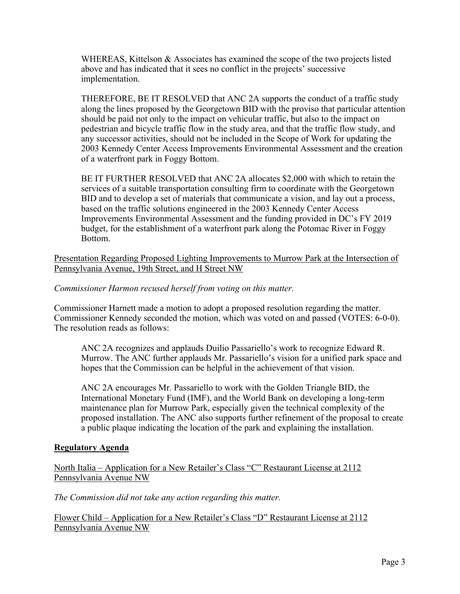WHEREAS, Kittelson & Associates has examined the scope of the two projects listed above and has indicated that it sees no conflict in the projects' successive implementation.

THEREFORE, BE IT RESOLVED that ANC 2A supports the conduct of a traffic study along the lines proposed by the Georgetown BID with the proviso that particular attention should be paid not only to the impact on vehicular traffic, but also to the impact on pedestrian and bicycle traffic flow in the study area, and that the traffic flow study, and any successor activities, should not be included in the Scope of Work for updating the 2003 Kennedy Center Access Improvements Environmental Assessment and the creation of a waterfront park in Foggy Bottom.

BE IT FURTHER RESOLVED that ANC 2A allocates \$2,000 with which to retain the services of a suitable transportation consulting firm to coordinate with the Georgetown BID and to develop a set of materials that communicate a vision, and lay out a process, based on the traffic solutions engineered in the 2003 Kennedy Center Access Improvements Environmental Assessment and the funding provided in DC's FY 2019 budget, for the establishment of a waterfront park along the Potomac River in Foggy Bottom.

Presentation Regarding Proposed Lighting Improvements to Murrow Park at the Intersection of Pennsylvania Avenue, 19th Street, and H Street NW

# *Commissioner Harmon recused herself from voting on this matter.*

Commissioner Harnett made a motion to adopt a proposed resolution regarding the matter. Commissioner Kennedy seconded the motion, which was voted on and passed (VOTES: 6-0-0). The resolution reads as follows:

ANC 2A recognizes and applauds Duilio Passariello's work to recognize Edward R. Murrow. The ANC further applauds Mr. Passariello's vision for a unified park space and hopes that the Commission can be helpful in the achievement of that vision.

ANC 2A encourages Mr. Passariello to work with the Golden Triangle BID, the International Monetary Fund (IMF), and the World Bank on developing a long-term maintenance plan for Murrow Park, especially given the technical complexity of the proposed installation. The ANC also supports further refinement of the proposal to create a public plaque indicating the location of the park and explaining the installation.

## **Regulatory Agenda**

North Italia – Application for a New Retailer's Class "C" Restaurant License at 2112 Pennsylvania Avenue NW

*The Commission did not take any action regarding this matter.*

Flower Child – Application for a New Retailer's Class "D" Restaurant License at 2112 Pennsylvania Avenue NW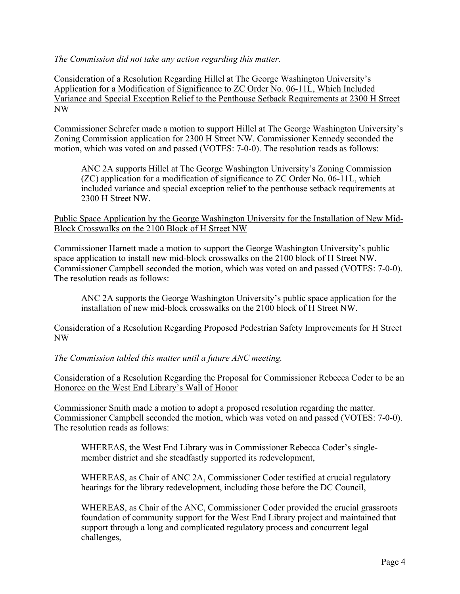*The Commission did not take any action regarding this matter.*

Consideration of a Resolution Regarding Hillel at The George Washington University's Application for a Modification of Significance to ZC Order No. 06-11L, Which Included Variance and Special Exception Relief to the Penthouse Setback Requirements at 2300 H Street NW

Commissioner Schrefer made a motion to support Hillel at The George Washington University's Zoning Commission application for 2300 H Street NW. Commissioner Kennedy seconded the motion, which was voted on and passed (VOTES: 7-0-0). The resolution reads as follows:

ANC 2A supports Hillel at The George Washington University's Zoning Commission (ZC) application for a modification of significance to ZC Order No. 06-11L, which included variance and special exception relief to the penthouse setback requirements at 2300 H Street NW.

Public Space Application by the George Washington University for the Installation of New Mid-Block Crosswalks on the 2100 Block of H Street NW

Commissioner Harnett made a motion to support the George Washington University's public space application to install new mid-block crosswalks on the 2100 block of H Street NW. Commissioner Campbell seconded the motion, which was voted on and passed (VOTES: 7-0-0). The resolution reads as follows:

ANC 2A supports the George Washington University's public space application for the installation of new mid-block crosswalks on the 2100 block of H Street NW.

Consideration of a Resolution Regarding Proposed Pedestrian Safety Improvements for H Street NW

*The Commission tabled this matter until a future ANC meeting.*

Consideration of a Resolution Regarding the Proposal for Commissioner Rebecca Coder to be an Honoree on the West End Library's Wall of Honor

Commissioner Smith made a motion to adopt a proposed resolution regarding the matter. Commissioner Campbell seconded the motion, which was voted on and passed (VOTES: 7-0-0). The resolution reads as follows:

WHEREAS, the West End Library was in Commissioner Rebecca Coder's singlemember district and she steadfastly supported its redevelopment,

WHEREAS, as Chair of ANC 2A, Commissioner Coder testified at crucial regulatory hearings for the library redevelopment, including those before the DC Council,

WHEREAS, as Chair of the ANC, Commissioner Coder provided the crucial grassroots foundation of community support for the West End Library project and maintained that support through a long and complicated regulatory process and concurrent legal challenges,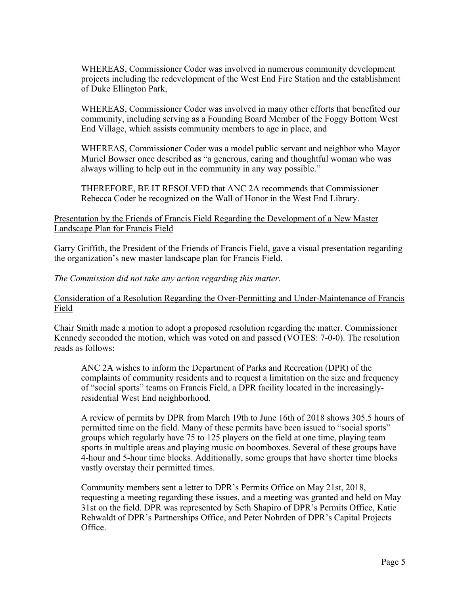WHEREAS, Commissioner Coder was involved in numerous community development projects including the redevelopment of the West End Fire Station and the establishment of Duke Ellington Park,

WHEREAS, Commissioner Coder was involved in many other efforts that benefited our community, including serving as a Founding Board Member of the Foggy Bottom West End Village, which assists community members to age in place, and

WHEREAS, Commissioner Coder was a model public servant and neighbor who Mayor Muriel Bowser once described as "a generous, caring and thoughtful woman who was always willing to help out in the community in any way possible."

THEREFORE, BE IT RESOLVED that ANC 2A recommends that Commissioner Rebecca Coder be recognized on the Wall of Honor in the West End Library.

## Presentation by the Friends of Francis Field Regarding the Development of a New Master Landscape Plan for Francis Field

Garry Griffith, the President of the Friends of Francis Field, gave a visual presentation regarding the organization's new master landscape plan for Francis Field.

*The Commission did not take any action regarding this matter.*

## Consideration of a Resolution Regarding the Over-Permitting and Under-Maintenance of Francis Field

Chair Smith made a motion to adopt a proposed resolution regarding the matter. Commissioner Kennedy seconded the motion, which was voted on and passed (VOTES: 7-0-0). The resolution reads as follows:

ANC 2A wishes to inform the Department of Parks and Recreation (DPR) of the complaints of community residents and to request a limitation on the size and frequency of "social sports" teams on Francis Field, a DPR facility located in the increasinglyresidential West End neighborhood.

A review of permits by DPR from March 19th to June 16th of 2018 shows 305.5 hours of permitted time on the field. Many of these permits have been issued to "social sports" groups which regularly have 75 to 125 players on the field at one time, playing team sports in multiple areas and playing music on boomboxes. Several of these groups have 4-hour and 5-hour time blocks. Additionally, some groups that have shorter time blocks vastly overstay their permitted times.

Community members sent a letter to DPR's Permits Office on May 21st, 2018, requesting a meeting regarding these issues, and a meeting was granted and held on May 31st on the field. DPR was represented by Seth Shapiro of DPR's Permits Office, Katie Rehwaldt of DPR's Partnerships Office, and Peter Nohrden of DPR's Capital Projects Office.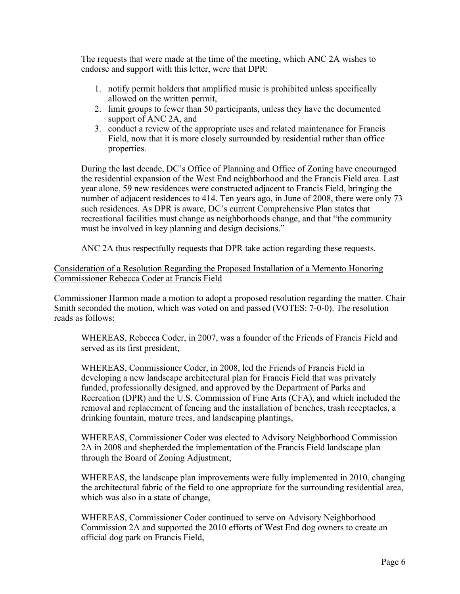The requests that were made at the time of the meeting, which ANC 2A wishes to endorse and support with this letter, were that DPR:

- 1. notify permit holders that amplified music is prohibited unless specifically allowed on the written permit,
- 2. limit groups to fewer than 50 participants, unless they have the documented support of ANC 2A, and
- 3. conduct a review of the appropriate uses and related maintenance for Francis Field, now that it is more closely surrounded by residential rather than office properties.

During the last decade, DC's Office of Planning and Office of Zoning have encouraged the residential expansion of the West End neighborhood and the Francis Field area. Last year alone, 59 new residences were constructed adjacent to Francis Field, bringing the number of adjacent residences to 414. Ten years ago, in June of 2008, there were only 73 such residences. As DPR is aware, DC's current Comprehensive Plan states that recreational facilities must change as neighborhoods change, and that "the community must be involved in key planning and design decisions."

ANC 2A thus respectfully requests that DPR take action regarding these requests.

# Consideration of a Resolution Regarding the Proposed Installation of a Memento Honoring Commissioner Rebecca Coder at Francis Field

Commissioner Harmon made a motion to adopt a proposed resolution regarding the matter. Chair Smith seconded the motion, which was voted on and passed (VOTES: 7-0-0). The resolution reads as follows:

WHEREAS, Rebecca Coder, in 2007, was a founder of the Friends of Francis Field and served as its first president,

WHEREAS, Commissioner Coder, in 2008, led the Friends of Francis Field in developing a new landscape architectural plan for Francis Field that was privately funded, professionally designed, and approved by the Department of Parks and Recreation (DPR) and the U.S. Commission of Fine Arts (CFA), and which included the removal and replacement of fencing and the installation of benches, trash receptacles, a drinking fountain, mature trees, and landscaping plantings,

WHEREAS, Commissioner Coder was elected to Advisory Neighborhood Commission 2A in 2008 and shepherded the implementation of the Francis Field landscape plan through the Board of Zoning Adjustment,

WHEREAS, the landscape plan improvements were fully implemented in 2010, changing the architectural fabric of the field to one appropriate for the surrounding residential area, which was also in a state of change,

WHEREAS, Commissioner Coder continued to serve on Advisory Neighborhood Commission 2A and supported the 2010 efforts of West End dog owners to create an official dog park on Francis Field,